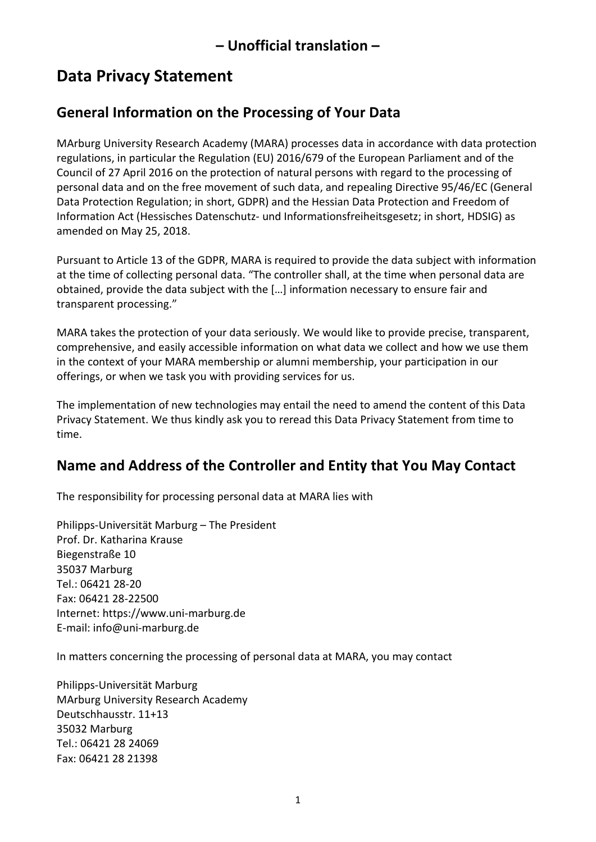# **Data Privacy Statement**

## **General Information on the Processing of Your Data**

MArburg University Research Academy (MARA) processes data in accordance with data protection regulations, in particular the Regulation (EU) 2016/679 of the European Parliament and of the Council of 27 April 2016 on the protection of natural persons with regard to the processing of personal data and on the free movement of such data, and repealing Directive 95/46/EC (General Data Protection Regulation; in short, GDPR) and the Hessian Data Protection and Freedom of Information Act (Hessisches Datenschutz- und Informationsfreiheitsgesetz; in short, HDSIG) as amended on May 25, 2018.

Pursuant to Article 13 of the GDPR, MARA is required to provide the data subject with information at the time of collecting personal data. "The controller shall, at the time when personal data are obtained, provide the data subject with the […] information necessary to ensure fair and transparent processing."

MARA takes the protection of your data seriously. We would like to provide precise, transparent, comprehensive, and easily accessible information on what data we collect and how we use them in the context of your MARA membership or alumni membership, your participation in our offerings, or when we task you with providing services for us.

The implementation of new technologies may entail the need to amend the content of this Data Privacy Statement. We thus kindly ask you to reread this Data Privacy Statement from time to time.

## **Name and Address of the Controller and Entity that You May Contact**

The responsibility for processing personal data at MARA lies with

Philipps-Universität Marburg – The President Prof. Dr. Katharina Krause Biegenstraße 10 35037 Marburg Tel.: 06421 28-20 Fax: 06421 28-22500 Internet: [https://www.uni-marburg.de](https://www.uni-marburg.de/) E-mail: [info@uni-marburg.de](mailto:info@uni-marburg.de)

In matters concerning the processing of personal data at MARA, you may contact

Philipps-Universität Marburg MArburg University Research Academy Deutschhausstr. 11+13 35032 Marburg Tel.: 06421 28 24069 Fax: 06421 28 21398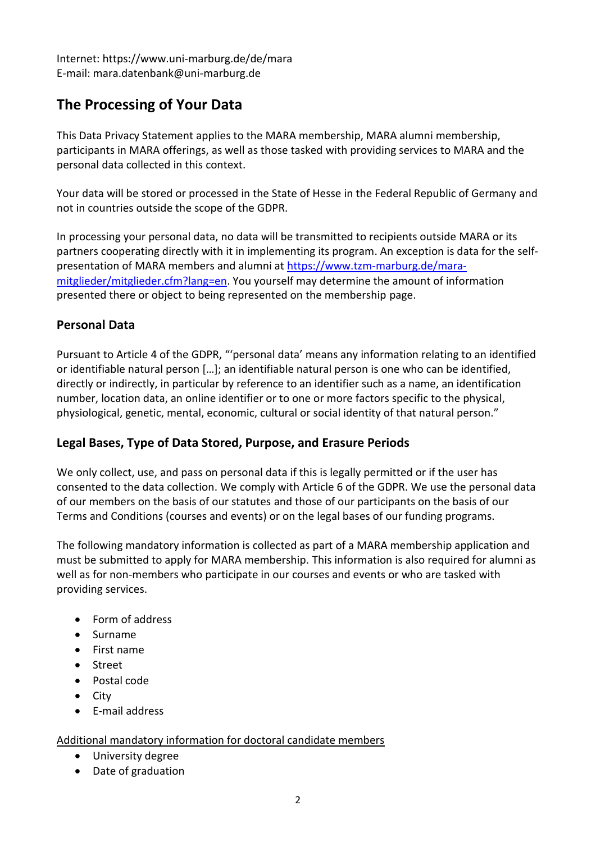Internet: https://www.uni-marburg.de/de/mara E-mail: mara.datenbank@uni-marburg.de

## **The Processing of Your Data**

This Data Privacy Statement applies to the MARA membership, MARA alumni membership, participants in MARA offerings, as well as those tasked with providing services to MARA and the personal data collected in this context.

Your data will be stored or processed in the State of Hesse in the Federal Republic of Germany and not in countries outside the scope of the GDPR.

In processing your personal data, no data will be transmitted to recipients outside MARA or its partners cooperating directly with it in implementing its program. An exception is data for the selfpresentation of MARA members and alumni at [https://www.tzm-marburg.de/mara](https://www.tzm-marburg.de/mara-mitglieder/mitglieder.cfm?lang=en)[mitglieder/mitglieder.cfm?lang=en.](https://www.tzm-marburg.de/mara-mitglieder/mitglieder.cfm?lang=en) You yourself may determine the amount of information presented there or object to being represented on the membership page.

#### **Personal Data**

Pursuant to Article 4 of the GDPR, "'personal data' means any information relating to an identified or identifiable natural person […]; an identifiable natural person is one who can be identified, directly or indirectly, in particular by reference to an identifier such as a name, an identification number, location data, an online identifier or to one or more factors specific to the physical, physiological, genetic, mental, economic, cultural or social identity of that natural person."

### **Legal Bases, Type of Data Stored, Purpose, and Erasure Periods**

We only collect, use, and pass on personal data if this is legally permitted or if the user has consented to the data collection. We comply with Article 6 of the GDPR. We use the personal data of our members on the basis of our statutes and those of our participants on the basis of our Terms and Conditions (courses and events) or on the legal bases of our funding programs.

The following mandatory information is collected as part of a MARA membership application and must be submitted to apply for MARA membership. This information is also required for alumni as well as for non-members who participate in our courses and events or who are tasked with providing services.

- Form of address
- Surname
- First name
- Street
- Postal code
- City
- $\bullet$  F-mail address

#### Additional mandatory information for doctoral candidate members

- University degree
- Date of graduation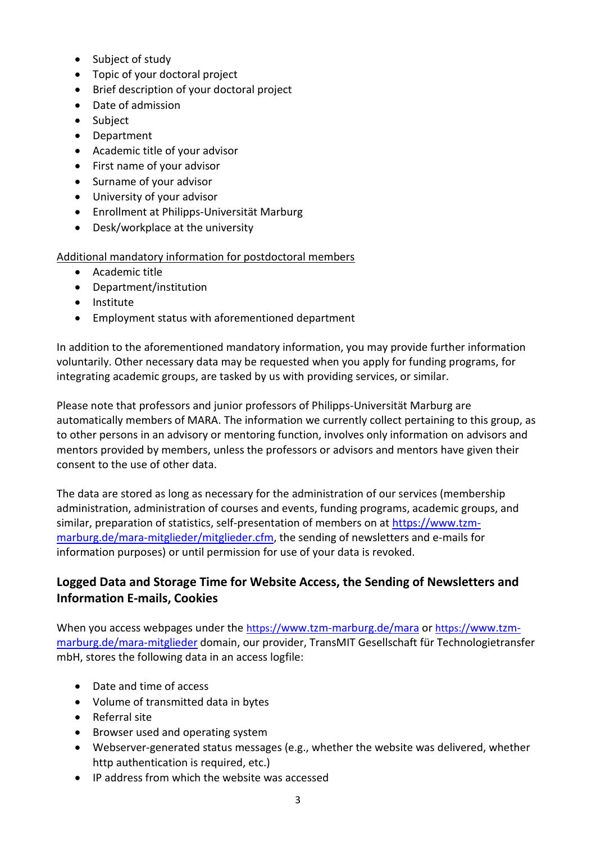- Subject of study
- Topic of your doctoral project
- Brief description of your doctoral project
- Date of admission
- Subject
- Department
- Academic title of your advisor
- First name of your advisor
- Surname of your advisor
- University of your advisor
- Enrollment at Philipps-Universität Marburg
- Desk/workplace at the university

Additional mandatory information for postdoctoral members

- Academic title
- Department/institution
- Institute
- Employment status with aforementioned department

In addition to the aforementioned mandatory information, you may provide further information voluntarily. Other necessary data may be requested when you apply for funding programs, for integrating academic groups, are tasked by us with providing services, or similar.

Please note that professors and junior professors of Philipps-Universität Marburg are automatically members of MARA. The information we currently collect pertaining to this group, as to other persons in an advisory or mentoring function, involves only information on advisors and mentors provided by members, unless the professors or advisors and mentors have given their consent to the use of other data.

The data are stored as long as necessary for the administration of our services (membership administration, administration of courses and events, funding programs, academic groups, and similar, preparation of statistics, self-presentation of members on at [https://www.tzm](https://www.tzm-marburg.de/mara-mitglieder/mitglieder.cfm)[marburg.de/mara-mitglieder/mitglieder.cfm,](https://www.tzm-marburg.de/mara-mitglieder/mitglieder.cfm) the sending of newsletters and e-mails for information purposes) or until permission for use of your data is revoked.

### **Logged Data and Storage Time for Website Access, the Sending of Newsletters and Information E-mails, Cookies**

When you access webpages under the https://[www.tzm-marburg.de/mara](http://www.tzm-marburg.de/mara) or https://[www.tzm](http://www.tzm-marburg.de/mara-mitglieder)[marburg.de/mara-mitglieder](http://www.tzm-marburg.de/mara-mitglieder) domain, our provider, TransMIT Gesellschaft für Technologietransfer mbH, stores the following data in an access logfile:

- Date and time of access
- Volume of transmitted data in bytes
- Referral site
- Browser used and operating system
- Webserver-generated status messages (e.g., whether the website was delivered, whether http authentication is required, etc.)
- IP address from which the website was accessed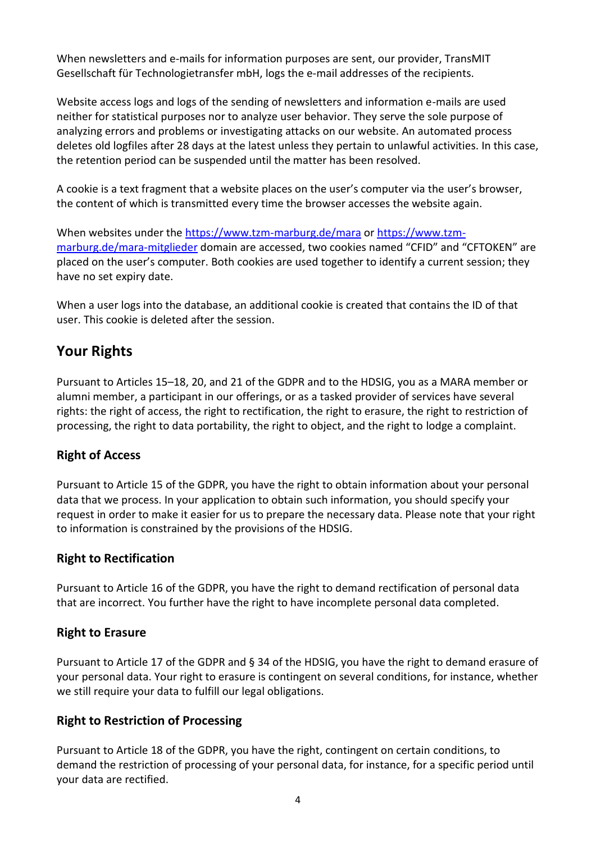When newsletters and e-mails for information purposes are sent, our provider, TransMIT Gesellschaft für Technologietransfer mbH, logs the e-mail addresses of the recipients.

Website access logs and logs of the sending of newsletters and information e-mails are used neither for statistical purposes nor to analyze user behavior. They serve the sole purpose of analyzing errors and problems or investigating attacks on our website. An automated process deletes old logfiles after 28 days at the latest unless they pertain to unlawful activities. In this case, the retention period can be suspended until the matter has been resolved.

A cookie is a text fragment that a website places on the user's computer via the user's browser, the content of which is transmitted every time the browser accesses the website again.

When websites under the https:/[/www.tzm-marburg.de/mara](http://www.tzm-marburg.de/mara) or https:/[/www.tzm](http://www.tzm-marburg.de/mara-mitglieder)[marburg.de/mara-mitglieder](http://www.tzm-marburg.de/mara-mitglieder) domain are accessed, two cookies named "CFID" and "CFTOKEN" are placed on the user's computer. Both cookies are used together to identify a current session; they have no set expiry date.

When a user logs into the database, an additional cookie is created that contains the ID of that user. This cookie is deleted after the session.

## **Your Rights**

Pursuant to Articles 15–18, 20, and 21 of the GDPR and to the HDSIG, you as a MARA member or alumni member, a participant in our offerings, or as a tasked provider of services have several rights: the right of access, the right to rectification, the right to erasure, the right to restriction of processing, the right to data portability, the right to object, and the right to lodge a complaint.

#### **Right of Access**

Pursuant to Article 15 of the GDPR, you have the right to obtain information about your personal data that we process. In your application to obtain such information, you should specify your request in order to make it easier for us to prepare the necessary data. Please note that your right to information is constrained by the provisions of the HDSIG.

#### **Right to Rectification**

Pursuant to Article 16 of the GDPR, you have the right to demand rectification of personal data that are incorrect. You further have the right to have incomplete personal data completed.

#### **Right to Erasure**

Pursuant to Article 17 of the GDPR and § 34 of the HDSIG, you have the right to demand erasure of your personal data. Your right to erasure is contingent on several conditions, for instance, whether we still require your data to fulfill our legal obligations.

#### **Right to Restriction of Processing**

Pursuant to Article 18 of the GDPR, you have the right, contingent on certain conditions, to demand the restriction of processing of your personal data, for instance, for a specific period until your data are rectified.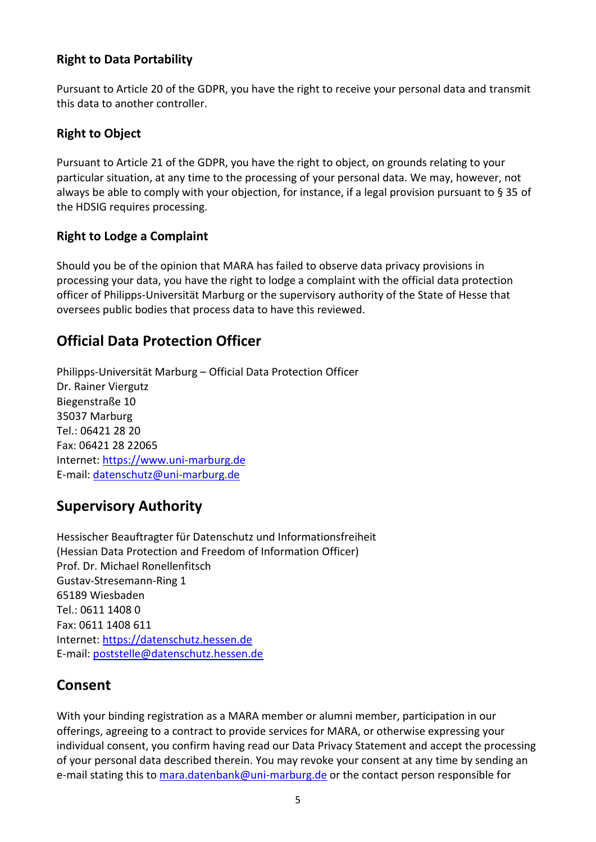#### **Right to Data Portability**

Pursuant to Article 20 of the GDPR, you have the right to receive your personal data and transmit this data to another controller.

#### **Right to Object**

Pursuant to Article 21 of the GDPR, you have the right to object, on grounds relating to your particular situation, at any time to the processing of your personal data. We may, however, not always be able to comply with your objection, for instance, if a legal provision pursuant to § 35 of the HDSIG requires processing.

#### **Right to Lodge a Complaint**

Should you be of the opinion that MARA has failed to observe data privacy provisions in processing your data, you have the right to lodge a complaint with the official data protection officer of Philipps-Universität Marburg or the supervisory authority of the State of Hesse that oversees public bodies that process data to have this reviewed.

### **Official Data Protection Officer**

Philipps-Universität Marburg – Official Data Protection Officer Dr. Rainer Viergutz Biegenstraße 10 35037 Marburg Tel.: 06421 28 20 Fax: 06421 28 22065 Internet: [https://www.uni-marburg.de](https://www.uni-marburg.de/) E-mail: [datenschutz@uni-marburg.de](mailto:datenschutz@uni-marburg.de)

### **Supervisory Authority**

Hessischer Beauftragter für Datenschutz und Informationsfreiheit (Hessian Data Protection and Freedom of Information Officer) Prof. Dr. Michael Ronellenfitsch Gustav-Stresemann-Ring 1 65189 Wiesbaden Tel.: 0611 1408 0 Fax: 0611 1408 611 Internet: [https://datenschutz.hessen.de](https://datenschutz.hessen.de/) E-mail: [poststelle@datenschutz.hessen.de](mailto:poststelle@datenschutz.hessen.de)

### **Consent**

With your binding registration as a MARA member or alumni member, participation in our offerings, agreeing to a contract to provide services for MARA, or otherwise expressing your individual consent, you confirm having read our Data Privacy Statement and accept the processing of your personal data described therein. You may revoke your consent at any time by sending an e-mail stating this to [mara.datenbank@uni-marburg.de](mailto:mara.datenbank@uni-marburg.de) or the contact person responsible for